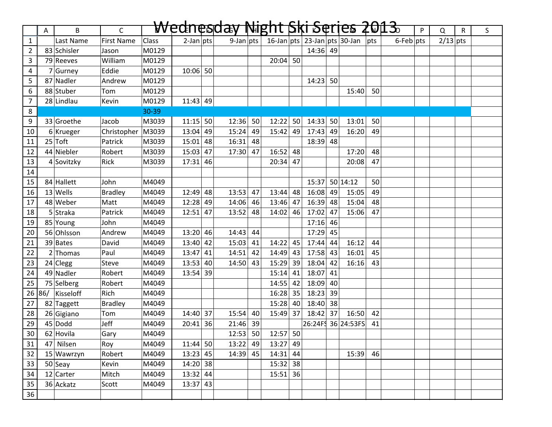|                | A | B                | $\mathsf{C}$        |              |              |    | <del>Wednesday Night Ski Series 2013.</del> |    |            |    |            |    |                                  |    |                 | P | Q          | $\mathsf{R}$ | S |
|----------------|---|------------------|---------------------|--------------|--------------|----|---------------------------------------------|----|------------|----|------------|----|----------------------------------|----|-----------------|---|------------|--------------|---|
| $\mathbf{1}$   |   | Last Name        | <b>First Name</b>   | <b>Class</b> | $2$ -Jan pts |    | $9$ -Jan pts                                |    |            |    |            |    | 16-Jan pts 23-Jan pts 30-Jan pts |    | $6$ -Feb $ pts$ |   | $2/13$ pts |              |   |
| $\overline{2}$ |   | 83 Schisler      | Jason               | M0129        |              |    |                                             |    |            |    | $14:36$ 49 |    |                                  |    |                 |   |            |              |   |
| 3              |   | 79 Reeves        | William             | M0129        |              |    |                                             |    | $20:04$ 50 |    |            |    |                                  |    |                 |   |            |              |   |
| 4              |   | 7 Gurney         | Eddie               | M0129        | $10:06$ 50   |    |                                             |    |            |    |            |    |                                  |    |                 |   |            |              |   |
| 5              |   | 87 Nadler        | Andrew              | M0129        |              |    |                                             |    |            |    | $14:23$ 50 |    |                                  |    |                 |   |            |              |   |
| 6              |   | 88 Stuber        | Tom                 | M0129        |              |    |                                             |    |            |    |            |    | 15:40                            | 50 |                 |   |            |              |   |
| $\overline{7}$ |   | 28 Lindlau       | Kevin               | M0129        | $11:43$ 49   |    |                                             |    |            |    |            |    |                                  |    |                 |   |            |              |   |
| 8              |   |                  |                     | 30-39        |              |    |                                             |    |            |    |            |    |                                  |    |                 |   |            |              |   |
| 9              |   | 33 Groethe       | Jacob               | M3039        | $11:15$ 50   |    | 12:36                                       | 50 | $12:22$ 50 |    | $14:33$ 50 |    | 13:01                            | 50 |                 |   |            |              |   |
| 10             |   | $6$ Krueger      | Christopher   M3039 |              | $13:04$ 49   |    | 15:24                                       | 49 | 15:42      | 49 | $17:43$ 49 |    | 16:20                            | 49 |                 |   |            |              |   |
| 11             |   | $25$ Toft        | Patrick             | M3039        | $15:01$ 48   |    | 16:31                                       | 48 |            |    | $18:39$ 48 |    |                                  |    |                 |   |            |              |   |
| 12             |   | 44 Niebler       | Robert              | M3039        | $15:03$ 47   |    | 17:30                                       | 47 | $16:52$ 48 |    |            |    | 17:20                            | 48 |                 |   |            |              |   |
| 13             |   | 4 Sovitzky       | Rick                | M3039        | 17:31        | 46 |                                             |    | $20:34$ 47 |    |            |    | 20:08                            | 47 |                 |   |            |              |   |
| 14             |   |                  |                     |              |              |    |                                             |    |            |    |            |    |                                  |    |                 |   |            |              |   |
| 15             |   | 84 Hallett       | John                | M4049        |              |    |                                             |    |            |    |            |    | 15:37 50 14:12                   | 50 |                 |   |            |              |   |
| 16             |   | $13$ Wells       | <b>Bradley</b>      | M4049        | $12:49$ 48   |    | 13:53                                       | 47 | 13:44      | 48 | 16:08      | 49 | 15:05                            | 49 |                 |   |            |              |   |
| 17             |   | 48 Weber         | Matt                | M4049        | $12:28$ 49   |    | 14:06                                       | 46 | 13:46      | 47 | $16:39$ 48 |    | 15:04                            | 48 |                 |   |            |              |   |
| 18             |   | 5 Straka         | Patrick             | M4049        | $12:51$ 47   |    | 13:52                                       | 48 | 14:02      | 46 | $17:02$ 47 |    | 15:06                            | 47 |                 |   |            |              |   |
| 19             |   | 85 Young         | John                | M4049        |              |    |                                             |    |            |    | $17:16$ 46 |    |                                  |    |                 |   |            |              |   |
| 20             |   | 56 Ohlsson       | Andrew              | M4049        | $13:20$ 46   |    | 14:43                                       | 44 |            |    | 17:29 45   |    |                                  |    |                 |   |            |              |   |
| 21             |   | 39 Bates         | David               | M4049        | $13:40$ 42   |    | 15:03                                       | 41 | 14:22      | 45 | $17:44$ 44 |    | 16:12                            | 44 |                 |   |            |              |   |
| 22             |   | $2$ Thomas       | Paul                | M4049        | $13:47$ 41   |    | 14:51                                       | 42 | 14:49      | 43 | $17:58$ 43 |    | 16:01                            | 45 |                 |   |            |              |   |
| 23             |   | $24$ Clegg       | Steve               | M4049        | $13:53$ 40   |    | 14:50                                       | 43 | 15:29      | 39 | $18:04$ 42 |    | 16:16                            | 43 |                 |   |            |              |   |
| 24             |   | 49 Nadler        | Robert              | M4049        | $13:54$ 39   |    |                                             |    | 15:14      | 41 | $18:07$ 41 |    |                                  |    |                 |   |            |              |   |
| 25             |   | 75 Selberg       | Robert              | M4049        |              |    |                                             |    | 14:55      | 42 | $18:09$ 40 |    |                                  |    |                 |   |            |              |   |
|                |   | 26 86/ Kisseloff | Rich                | M4049        |              |    |                                             |    | $16:28$ 35 |    | $18:23$ 39 |    |                                  |    |                 |   |            |              |   |
| 27             |   | 82 Taggett       | <b>Bradley</b>      | M4049        |              |    |                                             |    | 15:28 40   |    | $18:40$ 38 |    |                                  |    |                 |   |            |              |   |
| 28             |   | 26 Gigiano       | Tom                 | M4049        | 14:40 37     |    | 15:54                                       | 40 | 15:49 37   |    | $18:42$ 37 |    | 16:50                            | 42 |                 |   |            |              |   |
| 29             |   | $45 $ Dodd       | Jeff                | M4049        | $20:41$ 36   |    | 21:46                                       | 39 |            |    |            |    | 26:24F 36 24:53FS                | 41 |                 |   |            |              |   |
| 30             |   | 62 Hovila        | Gary                | M4049        |              |    | $12:53$ 50                                  |    | $12:57$ 50 |    |            |    |                                  |    |                 |   |            |              |   |
| 31             |   | 47 Nilsen        | Roy                 | M4049        | $11:44$ 50   |    | 13:22                                       | 49 | 13:27 49   |    |            |    |                                  |    |                 |   |            |              |   |
| 32             |   | 15 Wawrzyn       | Robert              | M4049        | $13:23$ 45   |    | 14:39 45                                    |    | $14:31$ 44 |    |            |    | 15:39                            | 46 |                 |   |            |              |   |
| 33             |   | $50$ Seay        | Kevin               | M4049        | 14:20 38     |    |                                             |    | $15:32$ 38 |    |            |    |                                  |    |                 |   |            |              |   |
| 34             |   | $12$ Carter      | Mitch               | M4049        | $13:32$ 44   |    |                                             |    | $15:51$ 36 |    |            |    |                                  |    |                 |   |            |              |   |
| 35             |   | 36 Ackatz        | Scott               | M4049        | $13:37$ 43   |    |                                             |    |            |    |            |    |                                  |    |                 |   |            |              |   |
| 36             |   |                  |                     |              |              |    |                                             |    |            |    |            |    |                                  |    |                 |   |            |              |   |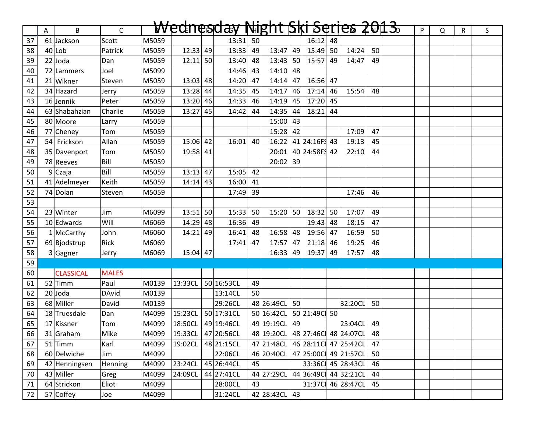|    | Α | B                | $\mathsf{C}$ |       |            | <del>Wednesday Night Ski Serjes 2013.</del> |    |                                    |    |                     |                 |                      |    | P | Q | $\mathsf{R}$ | S |
|----|---|------------------|--------------|-------|------------|---------------------------------------------|----|------------------------------------|----|---------------------|-----------------|----------------------|----|---|---|--------------|---|
| 37 |   | 61 Jackson       | Scott        | M5059 |            | $13:31$ 50                                  |    |                                    |    | 16:12               | 48              |                      |    |   |   |              |   |
| 38 |   | $40$ Lob         | Patrick      | M5059 | $12:33$ 49 | 13:33                                       | 49 | 13:47                              | 49 | 15:49               | 50 <sub>1</sub> | 14:24                | 50 |   |   |              |   |
| 39 |   | $22$ Joda        | Dan          | M5059 | $12:11$ 50 | 13:40                                       | 48 | $13:43$ 50                         |    | 15:57               | 49              | 14:47                | 49 |   |   |              |   |
| 40 |   | 72 Lammers       | Joel         | M5099 |            | 14:46                                       | 43 | $14:10$ 48                         |    |                     |                 |                      |    |   |   |              |   |
| 41 |   | 21 Wikner        | Steven       | M5059 | $13:03$ 48 | 14:20                                       | 47 | $14:14$ 47                         |    | $16:56$ 47          |                 |                      |    |   |   |              |   |
| 42 |   | 34 Hazard        | Jerry        | M5059 | $13:28$ 44 | 14:35                                       | 45 | 14:17                              | 46 | $17:14$ 46          |                 | 15:54                | 48 |   |   |              |   |
| 43 |   | $16$ Jennik      | Peter        | M5059 | $13:20$ 46 | 14:33                                       | 46 | $14:19$ 45                         |    | $17:20$ 45          |                 |                      |    |   |   |              |   |
| 44 |   | 63 Shabahzian    | Charlie      | M5059 | $13:27$ 45 | 14:42                                       | 44 | $14:35$ 44                         |    | 18:21               | 44              |                      |    |   |   |              |   |
| 45 |   | 80 Moore         | Larry        | M5059 |            |                                             |    | $15:00$ 43                         |    |                     |                 |                      |    |   |   |              |   |
| 46 |   | 77 Cheney        | Tom          | M5059 |            |                                             |    | $15:28$ 42                         |    |                     |                 | 17:09                | 47 |   |   |              |   |
| 47 |   | 54 Erickson      | Allan        | M5059 | $15:06$ 42 | 16:01                                       | 40 |                                    |    | 16:22 41 24:16 F 43 |                 | 19:13                | 45 |   |   |              |   |
| 48 |   | 35 Davenport     | Tom          | M5059 | 19:58 41   |                                             |    | 20:01                              |    | 40 24:58 F 42       |                 | 22:10                | 44 |   |   |              |   |
| 49 |   | 78 Reeves        | Bill         | M5059 |            |                                             |    | $20:02$ 39                         |    |                     |                 |                      |    |   |   |              |   |
| 50 |   | 9Czaja           | Bill         | M5059 | $13:13$ 47 | $15:05$ 42                                  |    |                                    |    |                     |                 |                      |    |   |   |              |   |
| 51 |   | 41 Adelmeyer     | Keith        | M5059 | $14:14$ 43 | $16:00$ 41                                  |    |                                    |    |                     |                 |                      |    |   |   |              |   |
| 52 |   | 74 Dolan         | Steven       | M5059 |            | 17:49                                       | 39 |                                    |    |                     |                 | 17:46                | 46 |   |   |              |   |
| 53 |   |                  |              |       |            |                                             |    |                                    |    |                     |                 |                      |    |   |   |              |   |
| 54 |   | $23$ Winter      | Jim          | M6099 | $13:51$ 50 | 15:33                                       | 50 | $15:20$ 50                         |    | 18:32               | 50              | 17:07                | 49 |   |   |              |   |
| 55 |   | 10 Edwards       | Will         | M6069 | $14:29$ 48 | $16:36$ 49                                  |    |                                    |    | 19:43               | 48              | 18:15                | 47 |   |   |              |   |
| 56 |   | $1$ McCarthy     | John         | M6060 | $14:21$ 49 | $16:41$ 48                                  |    | $16:58$ 48                         |    | 19:56               | 47              | 16:59                | 50 |   |   |              |   |
| 57 |   | 69 Bjodstrup     | Rick         | M6069 |            | 17:41                                       | 47 | $17:57$ 47                         |    | $21:18$ 46          |                 | 19:25                | 46 |   |   |              |   |
| 58 |   | 3 Gagner         | Jerry        | M6069 | $15:04$ 47 |                                             |    | $16:33$ 49                         |    | 19:37               | 49              | 17:57                | 48 |   |   |              |   |
| 59 |   |                  |              |       |            |                                             |    |                                    |    |                     |                 |                      |    |   |   |              |   |
| 60 |   | <b>CLASSICAL</b> | <b>MALES</b> |       |            |                                             |    |                                    |    |                     |                 |                      |    |   |   |              |   |
| 61 |   | $52$ Timm        | Paul         | M0139 | 13:33CL    | 50 16:53CL                                  | 49 |                                    |    |                     |                 |                      |    |   |   |              |   |
| 62 |   | $20$ Joda        | <b>DAvid</b> | M0139 |            | 13:14CL                                     | 50 |                                    |    |                     |                 |                      |    |   |   |              |   |
| 63 |   | 68 Miller        | David        | M0139 |            | 29:26CL                                     |    | 48 26:49CL 50                      |    |                     |                 | 32:20CL 50           |    |   |   |              |   |
| 64 |   | 18 Truesdale     | Dan          | M4099 | 15:23CL    | 50 17:31CL                                  |    | 50 16:42CL                         |    | 50 21:49C 50        |                 |                      |    |   |   |              |   |
| 65 |   | 17 Kissner       | Tom          | M4099 | 18:50CL    | 49 19:46CL                                  |    | 49 19:19CL                         | 49 |                     |                 | 23:04CL              | 49 |   |   |              |   |
| 66 |   | $31$ Graham      | Mike         | M4099 |            | 19:33CL 47 20:56CL                          |    | 48 19:20CL 48 27:46C 48 24:07CL 48 |    |                     |                 |                      |    |   |   |              |   |
| 67 |   | $51$ Timm        | Karl         | M4099 | 19:02CL    | 48 21:15CL                                  |    | 47 21:48CL                         |    |                     |                 | 46 28:11C 47 25:42CL | 47 |   |   |              |   |
| 68 |   | 60 Delwiche      | Jim          | M4099 |            | 22:06CL                                     |    | 46 20:40 CL 47 25:00 C 49 21:57 CL |    |                     |                 |                      | 50 |   |   |              |   |
| 69 |   | 42 Henningsen    | Henning      | M4099 | 23:24CL    | 45 26:44CL                                  | 45 |                                    |    |                     |                 | 33:36C 45 28:43CL    | 46 |   |   |              |   |
| 70 |   | 43 Miller        | Greg         | M4099 | 24:09CL    | 44 27:41CL                                  |    | 44 27:29CL                         |    |                     |                 | 44 36:49C 44 32:21CL | 44 |   |   |              |   |
| 71 |   | 64 Strickon      | Eliot        | M4099 |            | 28:00CL                                     | 43 |                                    |    |                     |                 | 31:37C 46 28:47CL    | 45 |   |   |              |   |
| 72 |   | 57 Coffey        | Joe          | M4099 |            | 31:24CL                                     |    | 42 28:43CL                         | 43 |                     |                 |                      |    |   |   |              |   |